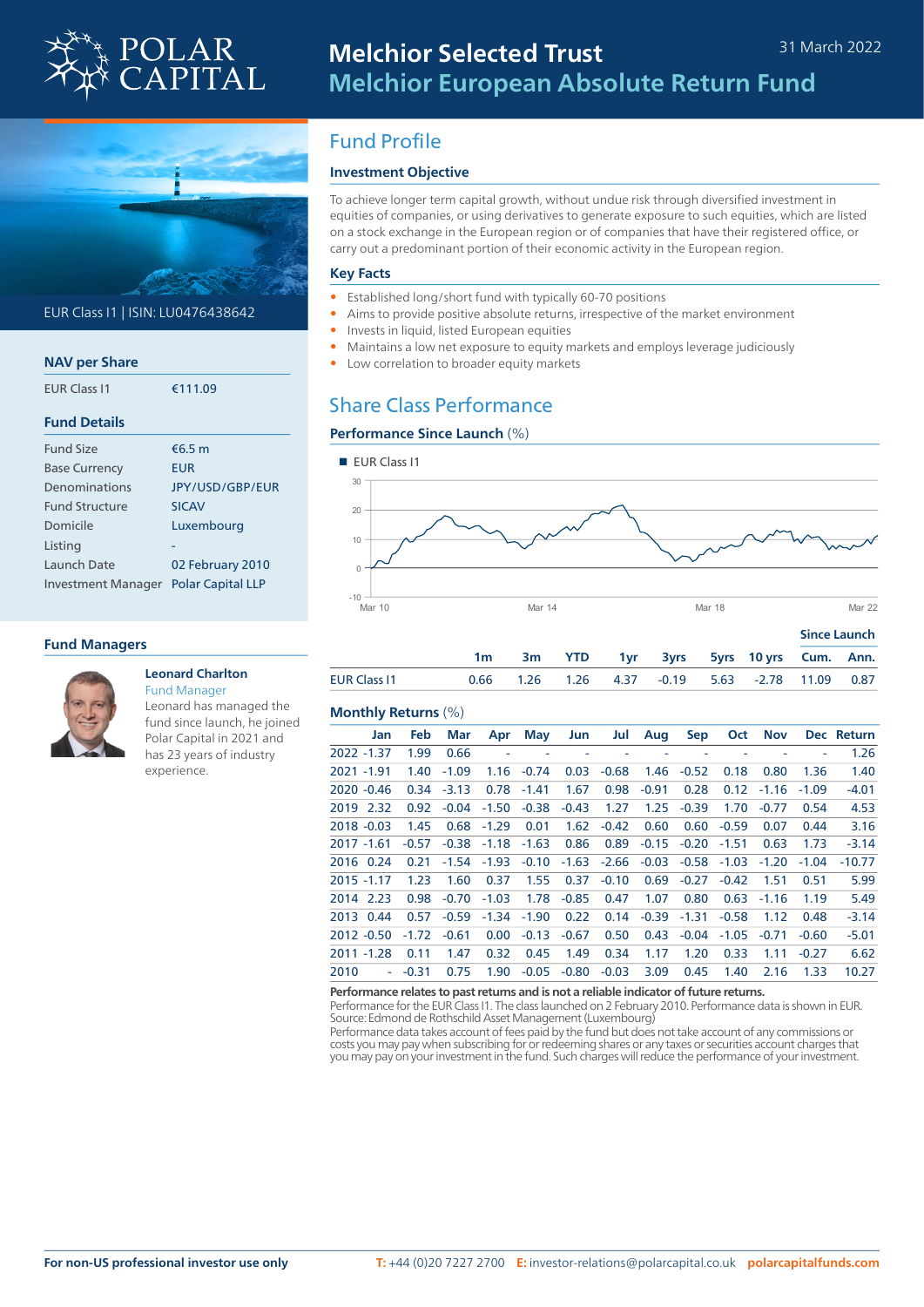



## EUR Class I1 | ISIN: LU0476438642

| <b>NAV per Share</b>  |                          |
|-----------------------|--------------------------|
| <b>FUR Class 11</b>   | €111.09                  |
| <b>Fund Details</b>   |                          |
| <b>Fund Size</b>      | €6.5 $m$                 |
| <b>Base Currency</b>  | EUR                      |
| Denominations         | <b>IPY/USD/GBP/FUR</b>   |
| <b>Fund Structure</b> | <b>SICAV</b>             |
| Domicile              | Luxembourg               |
| Listing               |                          |
| Launch Date           | 02 February 2010         |
| Investment Manager    | <b>Polar Capital LLP</b> |

### **Fund Managers**



#### **Leonard Charlton** Fund Manager

Leonard has managed the fund since launch, he joined Polar Capital in 2021 and has 23 years of industry experience.

# Fund Profile

# **Investment Objective**

To achieve longer term capital growth, without undue risk through diversified investment in equities of companies, or using derivatives to generate exposure to such equities, which are listed on a stock exchange in the European region or of companies that have their registered office, or carry out a predominant portion of their economic activity in the European region.

#### **Key Facts**

- Established long/short fund with typically 60-70 positions
- Aims to provide positive absolute returns, irrespective of the market environment
- Invests in liquid, listed European equities
- Maintains a low net exposure to equity markets and employs leverage judiciously
- Low correlation to broader equity markets

# Share Class Performance

## **Performance Since Launch** (%)



|                     |  |  |                                                 |  | <b>JURE FORIGE</b> |  |  |
|---------------------|--|--|-------------------------------------------------|--|--------------------|--|--|
|                     |  |  | 3m YTD 1yr 3yrs 5yrs 10yrs Cum. Ann.            |  |                    |  |  |
| <b>EUR Class 11</b> |  |  | 0.66 1.26 1.26 4.37 -0.19 5.63 -2.78 11.09 0.87 |  |                    |  |  |

#### **Monthly Returns** (%)

|      | Jan           | <b>Feb</b> | Mar          | Apr     | May     | Jun     | Jul     | Aug     | Sep     | Oct     | Nov          |         | Dec Return |
|------|---------------|------------|--------------|---------|---------|---------|---------|---------|---------|---------|--------------|---------|------------|
|      | 2022 -1.37    | 1.99       | 0.66         | ÷,      |         |         |         |         |         |         |              |         | 1.26       |
|      | 2021 -1.91    | 1.40       | $-1.09$      | 1.16    | $-0.74$ | 0.03    | $-0.68$ | 1.46    | $-0.52$ | 0.18    | 0.80         | 1.36    | 1.40       |
|      | $2020 - 0.46$ |            | $0.34 -3.13$ | 0.78    | $-1.41$ | 1.67    | 0.98    | $-0.91$ | 0.28    |         | $0.12 -1.16$ | $-1.09$ | $-4.01$    |
|      | 2019 2.32     | 0.92       | $-0.04$      | $-1.50$ | $-0.38$ | $-0.43$ | 1.27    | 1.25    | $-0.39$ | 1.70    | $-0.77$      | 0.54    | 4.53       |
|      | $2018 - 0.03$ | 1.45       | 0.68         | $-1.29$ | 0.01    | 1.62    | $-0.42$ | 0.60    | 0.60    | $-0.59$ | 0.07         | 0.44    | 3.16       |
|      | 2017 -1.61    | $-0.57$    | $-0.38$      | $-1.18$ | $-1.63$ | 0.86    | 0.89    | $-0.15$ | $-0.20$ | $-1.51$ | 0.63         | 1.73    | $-3.14$    |
|      | 2016 0.24     | 0.21       | $-1.54$      | $-1.93$ | $-0.10$ | $-1.63$ | $-2.66$ | $-0.03$ | $-0.58$ | $-1.03$ | $-1.20$      | $-1.04$ | $-10.77$   |
|      | $2015 - 1.17$ | 1.23       | 1.60         | 0.37    | 1.55    | 0.37    | $-0.10$ | 0.69    | $-0.27$ | $-0.42$ | 1.51         | 0.51    | 5.99       |
|      | 2014 2.23     | 0.98       | -0.70        | $-1.03$ | 1.78    | $-0.85$ | 0.47    | 1.07    | 0.80    | 0.63    | $-1.16$      | 1.19    | 5.49       |
|      | 2013 0.44     | 0.57       | $-0.59$      | $-1.34$ | $-1.90$ | 0.22    | 0.14    | $-0.39$ | $-1.31$ | $-0.58$ | 1.12         | 0.48    | $-3.14$    |
|      | $2012 - 0.50$ | $-1.72$    | $-0.61$      | 0.00    | $-0.13$ | $-0.67$ | 0.50    | 0.43    | $-0.04$ | $-1.05$ | $-0.71$      | $-0.60$ | $-5.01$    |
|      | $2011 - 1.28$ | 0.11       | 1.47         | 0.32    | 0.45    | 1.49    | 0.34    | 1.17    | 1.20    | 0.33    | 1.11         | $-0.27$ | 6.62       |
| 2010 | ÷             | $-0.31$    | 0.75         | 1.90    | $-0.05$ | $-0.80$ | $-0.03$ | 3.09    | 0.45    | 1.40    | 2.16         | 1.33    | 10.27      |
|      |               |            |              |         |         |         |         |         |         |         |              |         |            |

#### **Performance relates to past returns and is not a reliable indicator of future returns.**

Performance for the EUR Class I1. The class launched on 2 February 2010. Performance data is shown in EUR. Source: Edmond de Rothschild Asset Management (Luxembourg)

Performance data takes account of fees paid by the fund but does not take account of any commissions or costs you may pay when subscribing for or redeeming shares or any taxes or securities account charges that you may pay on your investment in the fund. Such charges will reduce the performance of your investment.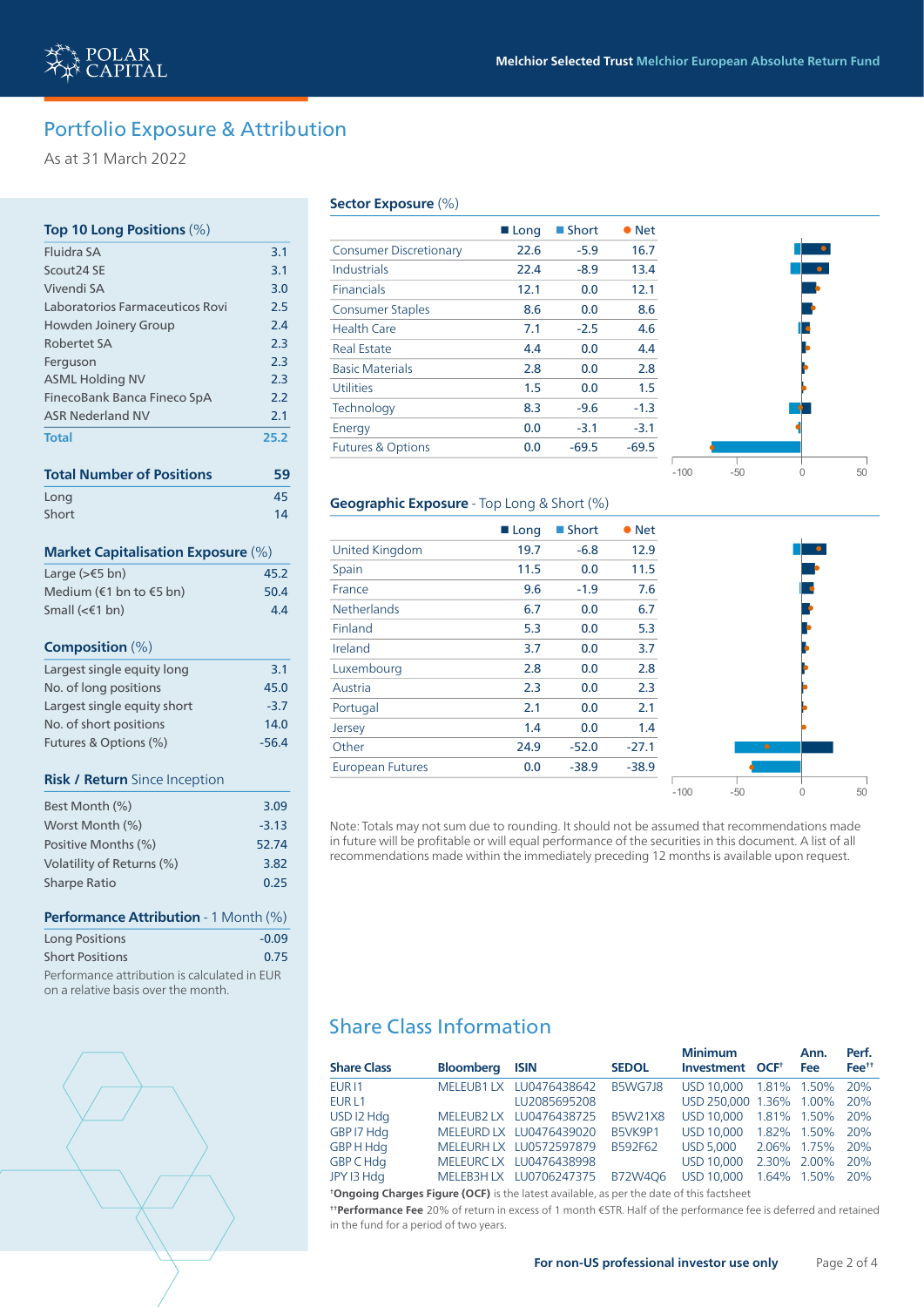# Portfolio Exposure & Attribution

As at 31 March 2022

## **Top 10 Long Positions** (%)

| <b>Fluidra SA</b>                                                                   | 3.1     |
|-------------------------------------------------------------------------------------|---------|
| Scout24 SE                                                                          | 3.1     |
| Vivendi SA                                                                          | 3.0     |
| Laboratorios Farmaceuticos Rovi                                                     | 2.5     |
| <b>Howden Joinery Group</b>                                                         | 2.4     |
| Robertet SA                                                                         | 2.3     |
| Ferguson                                                                            | 2.3     |
| <b>ASML Holding NV</b>                                                              | 2.3     |
| FinecoBank Banca Fineco SpA                                                         | 2.2     |
| <b>ASR Nederland NV</b>                                                             | 2.1     |
| <b>Total</b>                                                                        | 25.2    |
| <b>Total Number of Positions</b>                                                    | 59      |
| Long                                                                                | 45      |
| Short                                                                               | 14      |
| <b>Market Capitalisation Exposure (%)</b>                                           |         |
| Large ( $\geq$ $\leq$ 5 bn)                                                         | 45.2    |
| Medium (€1 bn to €5 bn)                                                             | 50.4    |
| Small (<€1 bn)                                                                      | 4.4     |
| Composition $(\%)$                                                                  |         |
| Largest single equity long                                                          | 3.1     |
| No. of long positions                                                               | 45.0    |
| Largest single equity short                                                         | $-3.7$  |
| No. of short positions                                                              | 14.0    |
| Futures & Options (%)                                                               | $-56.4$ |
| Risk / Return Since Inception                                                       |         |
| Best Month (%)                                                                      | 3.09    |
| Worst Month (%)                                                                     | $-3.13$ |
| Positive Months (%)                                                                 | 52.74   |
| Volatility of Returns (%)                                                           | 3.82    |
| <b>Sharpe Ratio</b>                                                                 | 0.25    |
| Performance Attribution - 1 Month (%)                                               |         |
| <b>Long Positions</b>                                                               | $-0.09$ |
| <b>Short Positions</b>                                                              | 0.75    |
| Performance attribution is calculated in EUR<br>on a relative basis over the month. |         |



#### **Sector Exposure** (%)

|                               | ■ Long | ■ Short | $\bullet$ Net |
|-------------------------------|--------|---------|---------------|
| <b>Consumer Discretionary</b> | 22.6   | $-5.9$  | 16.7          |
| Industrials                   | 22.4   | $-8.9$  | 13.4          |
| <b>Financials</b>             | 12.1   | 0.0     | 12.1          |
| <b>Consumer Staples</b>       | 8.6    | 0.0     | 8.6           |
| Health Care                   | 7.1    | $-2.5$  | 4.6           |
| <b>Real Estate</b>            | 4.4    | 0.0     | 4.4           |
| <b>Basic Materials</b>        | 2.8    | 0.0     | 2.8           |
| <b>Utilities</b>              | 1.5    | 0.0     | 1.5           |
| Technology                    | 8.3    | $-9.6$  | $-1.3$        |
| Energy                        | 0.0    | $-3.1$  | $-3.1$        |
| <b>Futures &amp; Options</b>  | 0.0    | $-69.5$ | $-69.5$       |



### **Geographic Exposure** - Top Long & Short (%)

|                         | ■ Long | ■ Short | $\bullet$ Net |        |       |           |  |
|-------------------------|--------|---------|---------------|--------|-------|-----------|--|
| <b>United Kingdom</b>   | 19.7   | $-6.8$  | 12.9          |        |       |           |  |
| Spain                   | 11.5   | 0.0     | 11.5          |        |       |           |  |
| France                  | 9.6    | $-1.9$  | 7.6           |        |       |           |  |
| <b>Netherlands</b>      | 6.7    | 0.0     | 6.7           |        |       |           |  |
| Finland                 | 5.3    | 0.0     | 5.3           |        |       |           |  |
| Ireland                 | 3.7    | 0.0     | 3.7           |        |       |           |  |
| Luxembourg              | 2.8    | 0.0     | 2.8           |        |       |           |  |
| Austria                 | 2.3    | 0.0     | 2.3           |        |       |           |  |
| Portugal                | 2.1    | 0.0     | 2.1           |        |       |           |  |
| Jersey                  | 1.4    | 0.0     | 1.4           |        |       |           |  |
| Other                   | 24.9   | $-52.0$ | $-27.1$       |        |       | $\bullet$ |  |
| <b>European Futures</b> | 0.0    | $-38.9$ | $-38.9$       |        |       |           |  |
|                         |        |         |               | $-100$ | $-50$ | 0         |  |

Note: Totals may not sum due to rounding. It should not be assumed that recommendations made in future will be profitable or will equal performance of the securities in this document. A list of all recommendations made within the immediately preceding 12 months is available upon request.

# Share Class Information

|                    |                       |                         |                | <b>Minimum</b>              | Ann.        | Perf.             |
|--------------------|-----------------------|-------------------------|----------------|-----------------------------|-------------|-------------------|
| <b>Share Class</b> | <b>Bloomberg ISIN</b> |                         | <b>SEDOL</b>   | Investment OCF <sup>+</sup> | <b>Fee</b>  | Fee <sup>++</sup> |
| <b>EUR11</b>       |                       | MELEUB1 LX LU0476438642 | B5WG7J8        | USD 10.000 1.81% 1.50%      |             | 20%               |
| EUR <sub>L1</sub>  |                       | LU2085695208            |                | USD 250,000 1.36% 1.00% 20% |             |                   |
| USD I2 Hdg         |                       | MELEUB2 LX LU0476438725 | <b>B5W21X8</b> | USD 10.000 1.81% 1.50% 20%  |             |                   |
| GBP I7 Hdg         |                       | MELEURD LX LU0476439020 | B5VK9P1        | USD 10.000 1.82% 1.50% 20%  |             |                   |
| GBP H Hdg          |                       | MELEURH LX LU0572597879 | B592F62        | <b>USD 5.000</b>            | 2.06% 1.75% | 20%               |
| GBP C Hdg          |                       | MELEURCLX LU0476438998  |                | USD 10,000                  | 2.30% 2.00% | 20%               |
| JPY 13 Hdg         |                       | MELEB3H LX LU0706247375 | B72W4O6        | USD 10.000 1.64% 1.50% 20%  |             |                   |
|                    |                       |                         |                |                             |             |                   |

**† Ongoing Charges Figure (OCF)** is the latest available, as per the date of this factsheet

**† † Performance Fee** 20% of return in excess of 1 month €STR. Half of the performance fee is deferred and retained in the fund for a period of two years.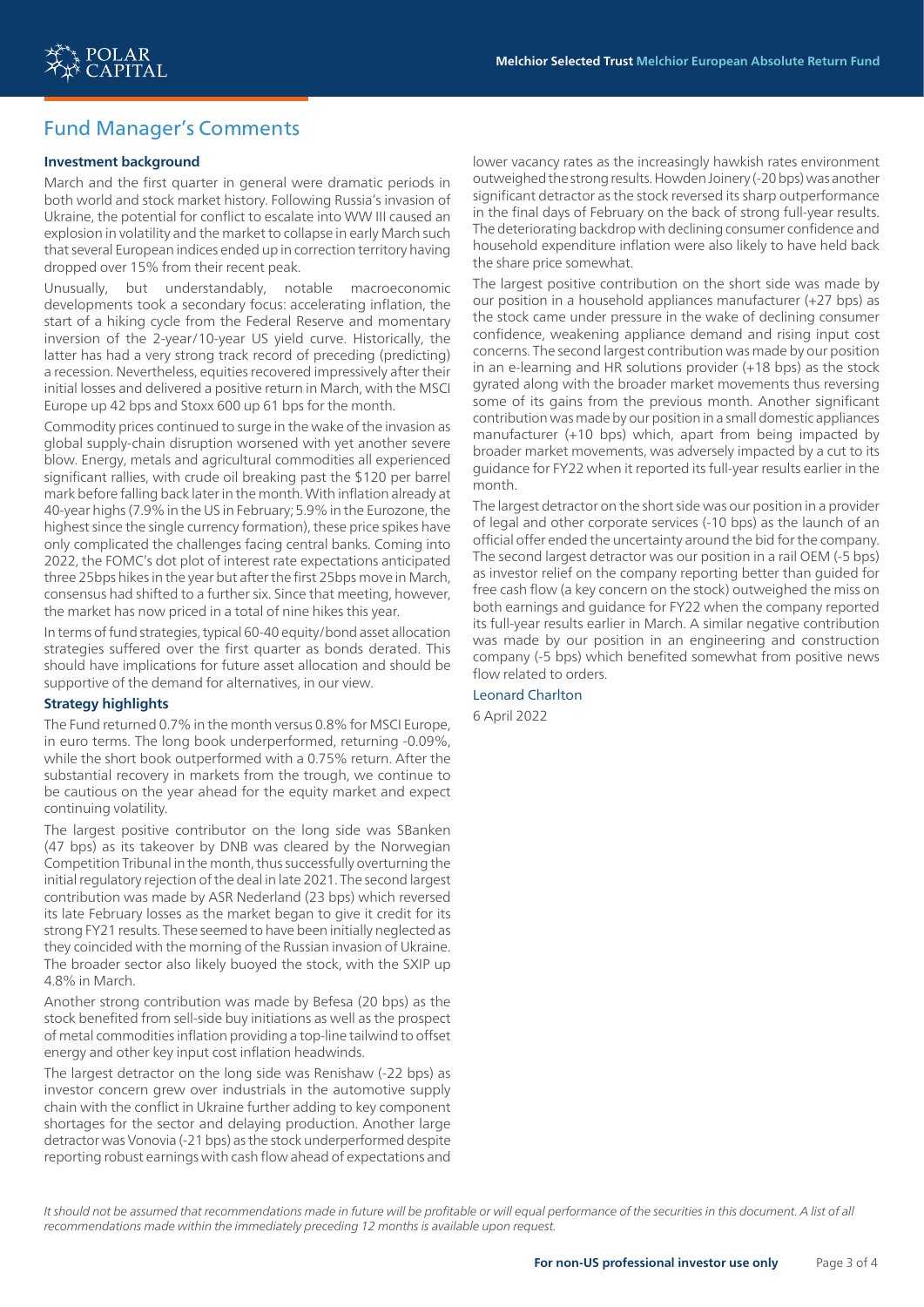

# Fund Manager's Comments

#### **Investment background**

March and the first quarter in general were dramatic periods in both world and stock market history. Following Russia's invasion of Ukraine, the potential for conflict to escalate into WW III caused an explosion in volatility and the market to collapse in early March such that several European indices ended up in correction territory having dropped over 15% from their recent peak.

Unusually, but understandably, notable macroeconomic developments took a secondary focus: accelerating inflation, the start of a hiking cycle from the Federal Reserve and momentary inversion of the 2-year/10-year US yield curve. Historically, the latter has had a very strong track record of preceding (predicting) a recession. Nevertheless, equities recovered impressively after their initial losses and delivered a positive return in March, with the MSCI Europe up 42 bps and Stoxx 600 up 61 bps for the month.

Commodity prices continued to surge in the wake of the invasion as global supply-chain disruption worsened with yet another severe blow. Energy, metals and agricultural commodities all experienced significant rallies, with crude oil breaking past the \$120 per barrel mark before falling back later in the month. With inflation already at 40-year highs (7.9% in the US in February; 5.9% in the Eurozone, the highest since the single currency formation), these price spikes have only complicated the challenges facing central banks. Coming into 2022, the FOMC's dot plot of interest rate expectations anticipated three 25bps hikes in the year but after the first 25bps move in March, consensus had shifted to a further six. Since that meeting, however, the market has now priced in a total of nine hikes this year.

In terms of fund strategies, typical 60-40 equity/bond asset allocation strategies suffered over the first quarter as bonds derated. This should have implications for future asset allocation and should be supportive of the demand for alternatives, in our view.

#### **Strategy highlights**

The Fund returned 0.7% in the month versus 0.8% for MSCI Europe, in euro terms. The long book underperformed, returning -0.09%, while the short book outperformed with a 0.75% return. After the substantial recovery in markets from the trough, we continue to be cautious on the year ahead for the equity market and expect continuing volatility.

The largest positive contributor on the long side was SBanken (47 bps) as its takeover by DNB was cleared by the Norwegian Competition Tribunal in the month, thus successfully overturning the initial regulatory rejection of the deal in late 2021. The second largest contribution was made by ASR Nederland (23 bps) which reversed its late February losses as the market began to give it credit for its strong FY21 results. These seemed to have been initially neglected as they coincided with the morning of the Russian invasion of Ukraine. The broader sector also likely buoyed the stock, with the SXIP up 4.8% in March.

Another strong contribution was made by Befesa (20 bps) as the stock benefited from sell-side buy initiations as well as the prospect of metal commodities inflation providing a top-line tailwind to offset energy and other key input cost inflation headwinds.

The largest detractor on the long side was Renishaw (-22 bps) as investor concern grew over industrials in the automotive supply chain with the conflict in Ukraine further adding to key component shortages for the sector and delaying production. Another large detractor was Vonovia (-21 bps) as the stock underperformed despite reporting robust earnings with cash flow ahead of expectations and

lower vacancy rates as the increasingly hawkish rates environment outweighed the strong results. Howden Joinery (-20 bps) was another significant detractor as the stock reversed its sharp outperformance in the final days of February on the back of strong full-year results. The deteriorating backdrop with declining consumer confidence and household expenditure inflation were also likely to have held back the share price somewhat.

The largest positive contribution on the short side was made by our position in a household appliances manufacturer (+27 bps) as the stock came under pressure in the wake of declining consumer confidence, weakening appliance demand and rising input cost concerns. The second largest contribution was made by our position in an e-learning and HR solutions provider (+18 bps) as the stock gyrated along with the broader market movements thus reversing some of its gains from the previous month. Another significant contribution was made by our position in a small domestic appliances manufacturer (+10 bps) which, apart from being impacted by broader market movements, was adversely impacted by a cut to its guidance for FY22 when it reported its full-year results earlier in the month.

The largest detractor on the short side was our position in a provider of legal and other corporate services (-10 bps) as the launch of an official offer ended the uncertainty around the bid for the company. The second largest detractor was our position in a rail OEM (-5 bps) as investor relief on the company reporting better than guided for free cash flow (a key concern on the stock) outweighed the miss on both earnings and guidance for FY22 when the company reported its full-year results earlier in March. A similar negative contribution was made by our position in an engineering and construction company (-5 bps) which benefited somewhat from positive news flow related to orders.

#### Leonard Charlton

6 April 2022

It should not be assumed that recommendations made in future will be profitable or will equal performance of the securities in this document. A list of all *recommendations made within the immediately preceding 12 months is available upon request.*